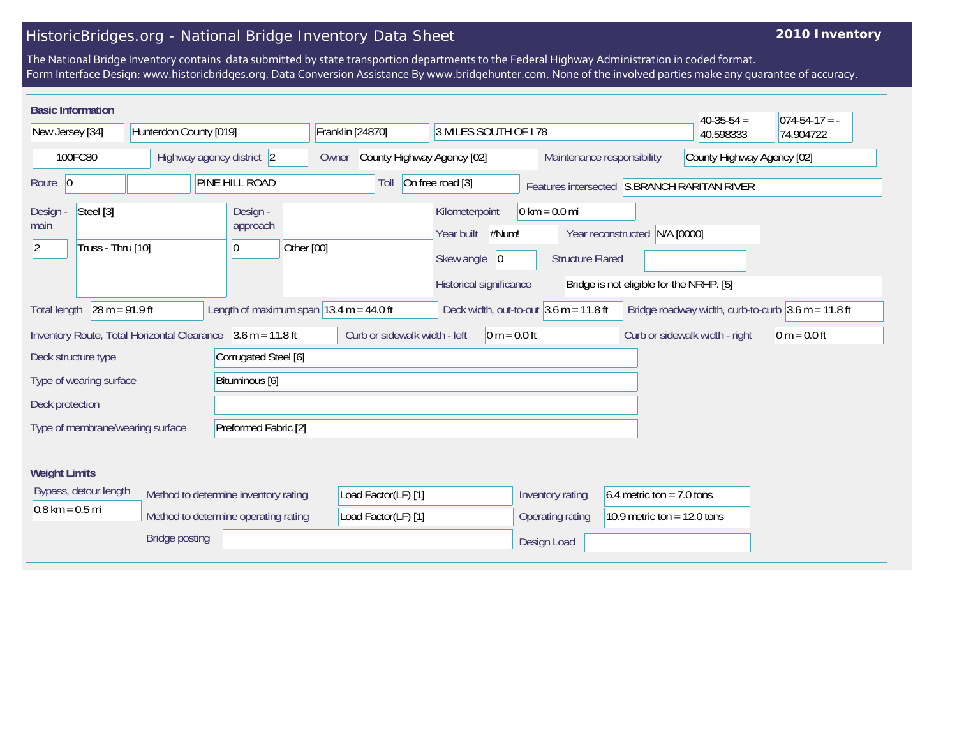## HistoricBridges.org - National Bridge Inventory Data Sheet

## **2010 Inventory**

The National Bridge Inventory contains data submitted by state transportion departments to the Federal Highway Administration in coded format. Form Interface Design: www.historicbridges.org. Data Conversion Assistance By www.bridgehunter.com. None of the involved parties make any guarantee of accuracy.

| <b>Basic Information</b>                                                                               |                                |                           |                                                                                   |                                                                                                                  |                          |                                          |                          |                                                          |                                 |                                                          |                                                                | $40-35-54 =$ | $ 074-54-17  = -$ |
|--------------------------------------------------------------------------------------------------------|--------------------------------|---------------------------|-----------------------------------------------------------------------------------|------------------------------------------------------------------------------------------------------------------|--------------------------|------------------------------------------|--------------------------|----------------------------------------------------------|---------------------------------|----------------------------------------------------------|----------------------------------------------------------------|--------------|-------------------|
| New Jersey [34]                                                                                        |                                | Hunterdon County [019]    |                                                                                   |                                                                                                                  |                          | Franklin [24870]<br>3 MILES SOUTH OF 178 |                          |                                                          |                                 |                                                          |                                                                | 40.598333    | 74.904722         |
| 100FC80                                                                                                |                                | Highway agency district 2 |                                                                                   |                                                                                                                  |                          | County Highway Agency [02]<br>Owner      |                          |                                                          |                                 | County Highway Agency [02]<br>Maintenance responsibility |                                                                |              |                   |
| Route $ 0$                                                                                             |                                |                           | PINE HILL ROAD                                                                    |                                                                                                                  | On free road [3]<br>Toll |                                          |                          | Features intersected S.BRANCH RARITAN RIVER              |                                 |                                                          |                                                                |              |                   |
| Design -<br>main<br>$ 2\rangle$                                                                        | Steel [3]<br>Truss - Thru [10] |                           |                                                                                   | Design -<br>approach<br>10                                                                                       | Other [00]               |                                          | Year built<br>Skew angle | Kilometerpoint<br>#Num!<br> 0<br>Historical significance | $0 \text{ km} = 0.0 \text{ mi}$ | <b>Structure Flared</b>                                  | Year reconstructed<br>Bridge is not eligible for the NRHP. [5] | N/A [0000]   |                   |
| $28 m = 91.9 ft$<br>Length of maximum span $ 13.4 \text{ m} = 44.0 \text{ ft} $<br><b>Total length</b> |                                |                           |                                                                                   | Deck width, out-to-out $3.6$ m = 11.8 ft<br>Bridge roadway width, curb-to-curb $3.6 \text{ m} = 11.8 \text{ ft}$ |                          |                                          |                          |                                                          |                                 |                                                          |                                                                |              |                   |
| Inventory Route, Total Horizontal Clearance 3.6 m = 11.8 ft                                            |                                |                           | Curb or sidewalk width - left<br>$0 m = 0.0 ft$<br>Curb or sidewalk width - right |                                                                                                                  |                          |                                          |                          |                                                          | $0 m = 0.0 ft$                  |                                                          |                                                                |              |                   |
| Deck structure type                                                                                    |                                |                           | Corrugated Steel [6]                                                              |                                                                                                                  |                          |                                          |                          |                                                          |                                 |                                                          |                                                                |              |                   |
| Type of wearing surface                                                                                |                                |                           | Bituminous [6]                                                                    |                                                                                                                  |                          |                                          |                          |                                                          |                                 |                                                          |                                                                |              |                   |
| Deck protection                                                                                        |                                |                           |                                                                                   |                                                                                                                  |                          |                                          |                          |                                                          |                                 |                                                          |                                                                |              |                   |
| Preformed Fabric [2]<br>Type of membrane/wearing surface                                               |                                |                           |                                                                                   |                                                                                                                  |                          |                                          |                          |                                                          |                                 |                                                          |                                                                |              |                   |
| <b>Weight Limits</b>                                                                                   |                                |                           |                                                                                   |                                                                                                                  |                          |                                          |                          |                                                          |                                 |                                                          |                                                                |              |                   |
| Bypass, detour length                                                                                  |                                |                           | Method to determine inventory rating                                              |                                                                                                                  | Load Factor(LF) [1]      |                                          |                          | Inventory rating                                         |                                 | 6.4 metric ton = $7.0$ tons                              |                                                                |              |                   |
| $0.8 \text{ km} = 0.5 \text{ mi}$                                                                      |                                |                           | Method to determine operating rating                                              |                                                                                                                  | Load Factor(LF) [1]      |                                          |                          | 10.9 metric ton = $12.0$ tons<br>Operating rating        |                                 |                                                          |                                                                |              |                   |
| <b>Bridge posting</b>                                                                                  |                                |                           |                                                                                   |                                                                                                                  |                          |                                          |                          |                                                          | Design Load                     |                                                          |                                                                |              |                   |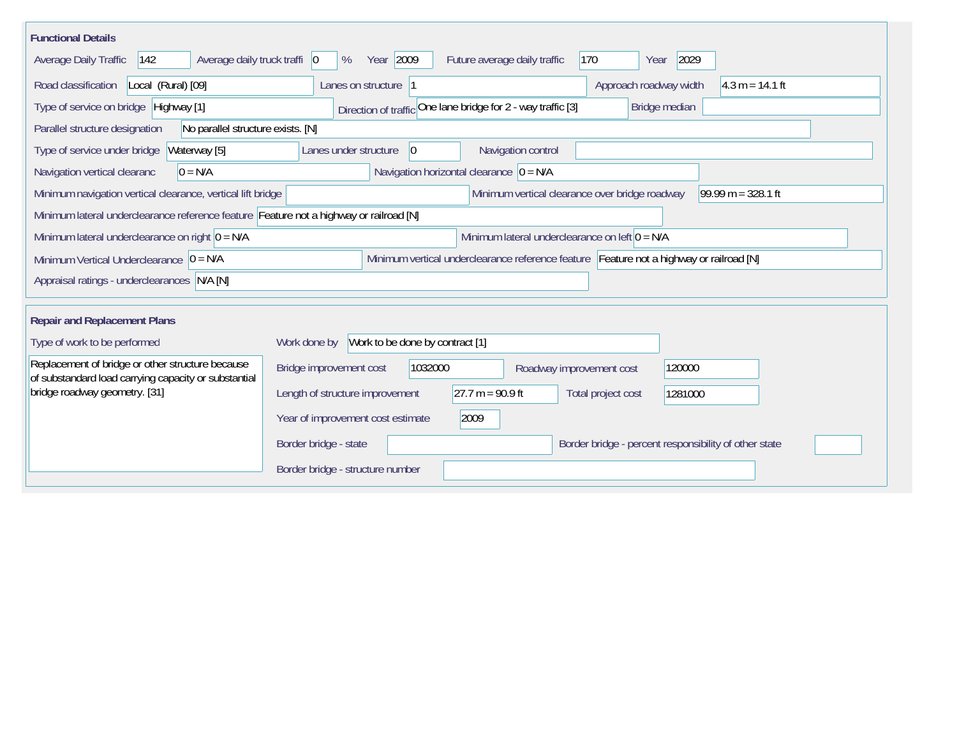| <b>Functional Details</b>                                                                                |                                                                                         |
|----------------------------------------------------------------------------------------------------------|-----------------------------------------------------------------------------------------|
| Average daily truck traffi   0<br>$ 142\rangle$<br>Average Daily Traffic                                 | Year 2009<br>2029<br>170<br>%<br>Future average daily traffic<br>Year                   |
| Road classification<br>Local (Rural) [09]                                                                | Approach roadway width<br>$4.3 m = 14.1 ft$<br>Lanes on structure  1                    |
| Type of service on bridge Highway [1]                                                                    | Direction of traffic One lane bridge for 2 - way traffic [3]<br>Bridge median           |
| No parallel structure exists. [N]<br>Parallel structure designation                                      |                                                                                         |
| Waterway [5]<br>Type of service under bridge                                                             | 0 <br>Navigation control<br>Lanes under structure                                       |
| Navigation vertical clearanc<br>$0 = N/A$                                                                | Navigation horizontal clearance $ 0 = N/A$                                              |
| Minimum navigation vertical clearance, vertical lift bridge                                              | Minimum vertical clearance over bridge roadway<br>99.99 m = $328.1$ ft                  |
| Minimum lateral underclearance reference feature Feature not a highway or railroad [N]                   |                                                                                         |
| Minimum lateral underclearance on right $ 0 = N/A$                                                       | Minimum lateral underclearance on left $0 = N/A$                                        |
| Minimum Vertical Underclearance $ 0 = N/A$                                                               | Minimum vertical underclearance reference feature Feature not a highway or railroad [N] |
| Appraisal ratings - underclearances N/A [N]                                                              |                                                                                         |
|                                                                                                          |                                                                                         |
| <b>Repair and Replacement Plans</b>                                                                      |                                                                                         |
| Type of work to be performed                                                                             | Work to be done by contract [1]<br>Work done by                                         |
| Replacement of bridge or other structure because<br>of substandard load carrying capacity or substantial | Bridge improvement cost<br>1032000<br>120000<br>Roadway improvement cost                |
| bridge roadway geometry. [31]                                                                            | 27.7 m = $90.9$ ft<br>Length of structure improvement<br>Total project cost<br>1281000  |
|                                                                                                          | Year of improvement cost estimate<br>2009                                               |
|                                                                                                          | Border bridge - state<br>Border bridge - percent responsibility of other state          |
|                                                                                                          | Border bridge - structure number                                                        |